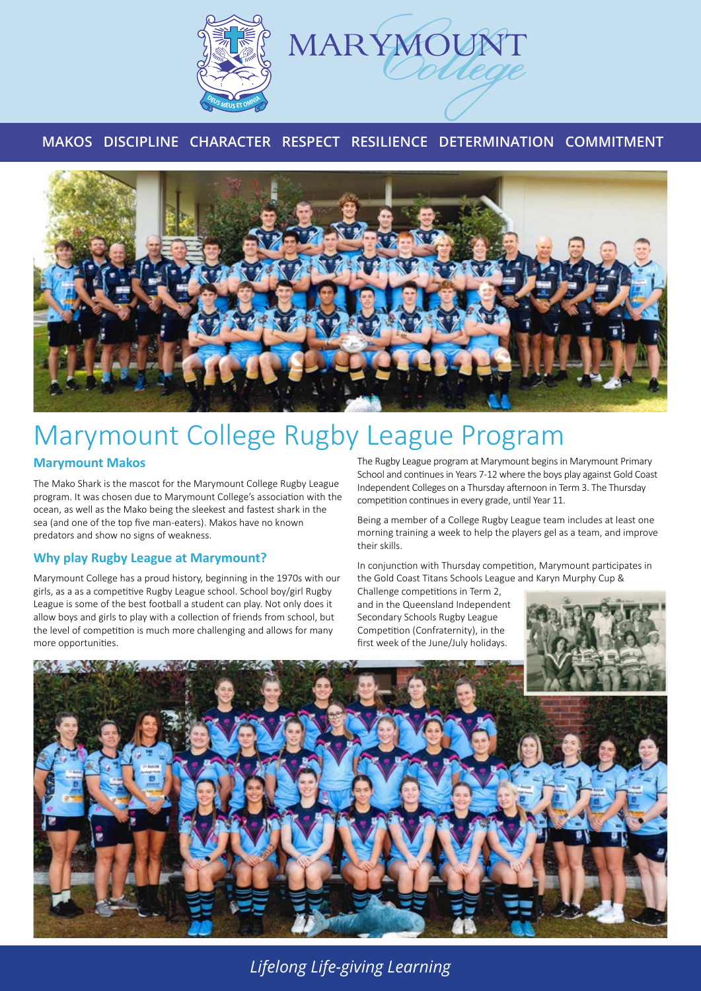

# **MAKOS DISCIPLINE CHARACTER RESPECT RESILIENCE DETERMINATION COMMITMENT**



# Marymount College Rugby League Program

### **Marymount Makos**

The Mako Shark is the mascot for the Marymount College Rugby League program. It was chosen due to Marymount College's association with the ocean, as well as the Mako being the sleekest and fastest shark in the sea (and one of the top five man-eaters). Makos have no known predators and show no signs of weakness.

# **Why play Rugby League at Marymount?**

Marymount College has a proud history, beginning in the 1970s with our girls, as a as a competitive Rugby League school. School boy/girl Rugby League is some of the best football a student can play. Not only does it allow boys and girls to play with a collection of friends from school, but the level of competition is much more challenging and allows for many more opportunities.

The Rugby League program at Marymount begins in Marymount Primary School and continues in Years 7-12 where the boys play against Gold Coast Independent Colleges on a Thursday afternoon in Term 3. The Thursday competition continues in every grade, until Year 11.

Being a member of a College Rugby League team includes at least one morning training a week to help the players gel as a team, and improve their skills.

In conjunction with Thursday competition, Marymount participates in the Gold Coast Titans Schools League and Karyn Murphy Cup &

Challenge competitions in Term 2, and in the Queensland Independent Secondary Schools Rugby League Competition (Confraternity), in the first week of the June/July holidays.





*Lifelong Life-giving Learning*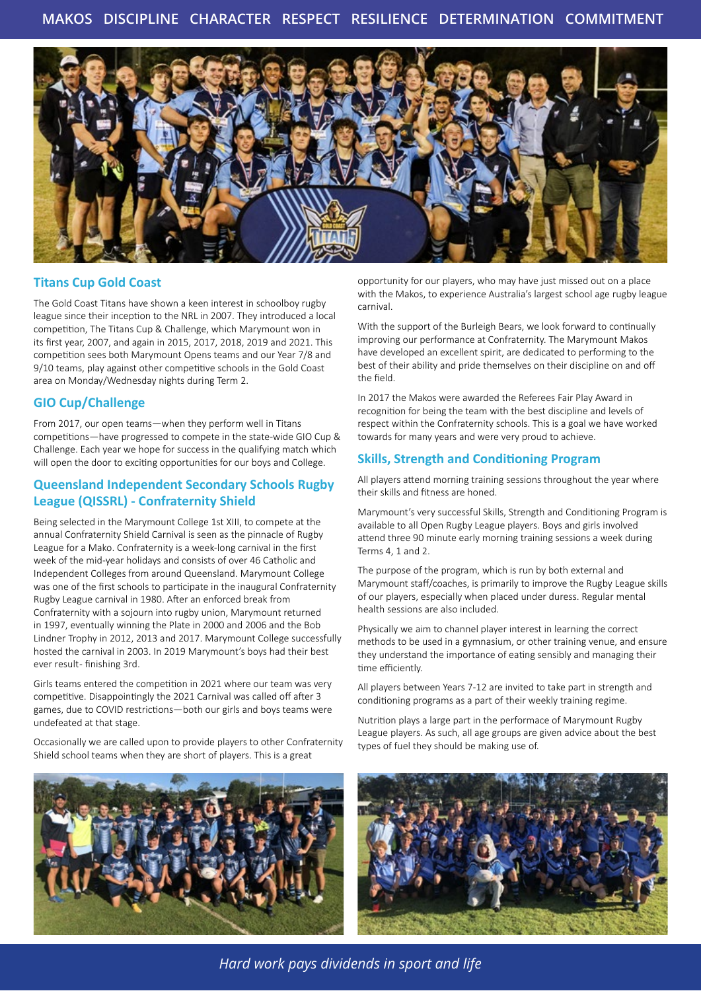

#### **Titans Cup Gold Coast**

The Gold Coast Titans have shown a keen interest in schoolboy rugby league since their inception to the NRL in 2007. They introduced a local competition, The Titans Cup & Challenge, which Marymount won in its first year, 2007, and again in 2015, 2017, 2018, 2019 and 2021. This competition sees both Marymount Opens teams and our Year 7/8 and 9/10 teams, play against other competitive schools in the Gold Coast area on Monday/Wednesday nights during Term 2.

#### **GIO Cup/Challenge**

From 2017, our open teams—when they perform well in Titans competitions—have progressed to compete in the state-wide GIO Cup & Challenge. Each year we hope for success in the qualifying match which will open the door to exciting opportunities for our boys and College.

### **Queensland Independent Secondary Schools Rugby League (QISSRL) - Confraternity Shield**

Being selected in the Marymount College 1st XIII, to compete at the annual Confraternity Shield Carnival is seen as the pinnacle of Rugby League for a Mako. Confraternity is a week-long carnival in the first week of the mid-year holidays and consists of over 46 Catholic and Independent Colleges from around Queensland. Marymount College was one of the first schools to participate in the inaugural Confraternity Rugby League carnival in 1980. After an enforced break from Confraternity with a sojourn into rugby union, Marymount returned in 1997, eventually winning the Plate in 2000 and 2006 and the Bob Lindner Trophy in 2012, 2013 and 2017. Marymount College successfully hosted the carnival in 2003. In 2019 Marymount's boys had their best ever result- finishing 3rd.

Girls teams entered the competition in 2021 where our team was very competitive. Disappointingly the 2021 Carnival was called off after 3 games, due to COVID restrictions—both our girls and boys teams were undefeated at that stage.

Occasionally we are called upon to provide players to other Confraternity Shield school teams when they are short of players. This is a great



opportunity for our players, who may have just missed out on a place with the Makos, to experience Australia's largest school age rugby league carnival.

With the support of the Burleigh Bears, we look forward to continually improving our performance at Confraternity. The Marymount Makos have developed an excellent spirit, are dedicated to performing to the best of their ability and pride themselves on their discipline on and off the field.

In 2017 the Makos were awarded the Referees Fair Play Award in recognition for being the team with the best discipline and levels of respect within the Confraternity schools. This is a goal we have worked towards for many years and were very proud to achieve.

#### **Skills, Strength and Conditioning Program**

All players attend morning training sessions throughout the year where their skills and fitness are honed.

Marymount's very successful Skills, Strength and Conditioning Program is available to all Open Rugby League players. Boys and girls involved attend three 90 minute early morning training sessions a week during Terms 4, 1 and 2.

The purpose of the program, which is run by both external and Marymount staff/coaches, is primarily to improve the Rugby League skills of our players, especially when placed under duress. Regular mental health sessions are also included.

Physically we aim to channel player interest in learning the correct methods to be used in a gymnasium, or other training venue, and ensure they understand the importance of eating sensibly and managing their time efficiently.

All players between Years 7-12 are invited to take part in strength and conditioning programs as a part of their weekly training regime.

Nutrition plays a large part in the performace of Marymount Rugby League players. As such, all age groups are given advice about the best types of fuel they should be making use of.



*Hard work pays dividends in sport and life*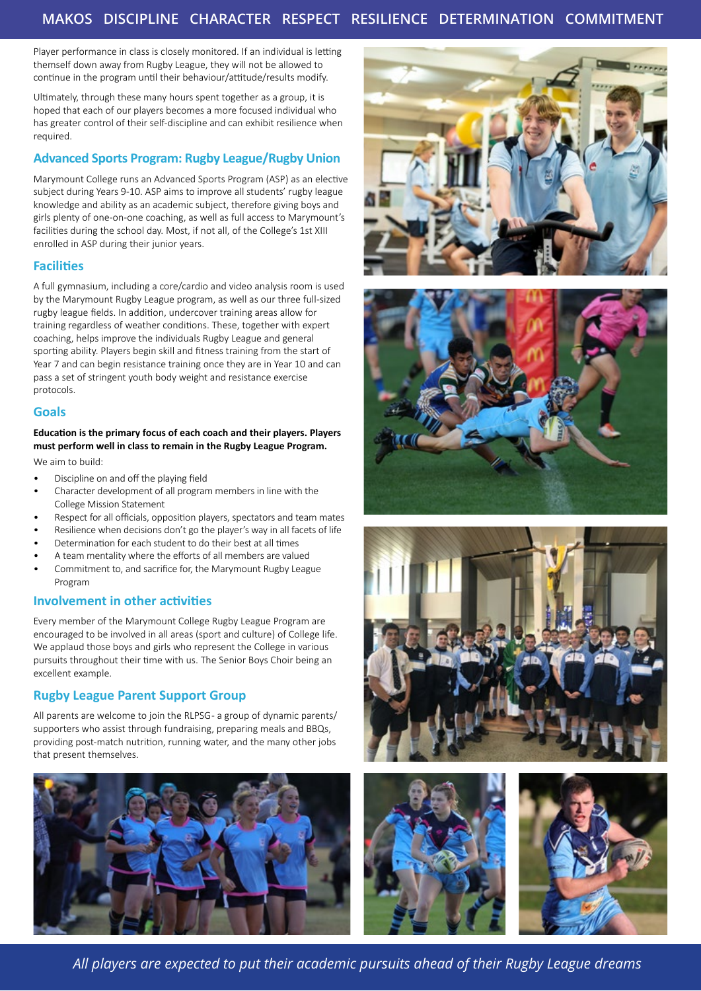## **MAKOS DISCIPLINE CHARACTER RESPECT RESILIENCE DETERMINATION COMMITMENT**

Player performance in class is closely monitored. If an individual is letting themself down away from Rugby League, they will not be allowed to continue in the program until their behaviour/attitude/results modify.

Ultimately, through these many hours spent together as a group, it is hoped that each of our players becomes a more focused individual who has greater control of their self-discipline and can exhibit resilience when required.

#### **Advanced Sports Program: Rugby League/Rugby Union**

Marymount College runs an Advanced Sports Program (ASP) as an elective subject during Years 9-10. ASP aims to improve all students' rugby league knowledge and ability as an academic subject, therefore giving boys and girls plenty of one-on-one coaching, as well as full access to Marymount's facilities during the school day. Most, if not all, of the College's 1st XIII enrolled in ASP during their junior years.

#### **Facilities**

A full gymnasium, including a core/cardio and video analysis room is used by the Marymount Rugby League program, as well as our three full-sized rugby league fields. In addition, undercover training areas allow for training regardless of weather conditions. These, together with expert coaching, helps improve the individuals Rugby League and general sporting ability. Players begin skill and fitness training from the start of Year 7 and can begin resistance training once they are in Year 10 and can pass a set of stringent youth body weight and resistance exercise protocols.

#### **Goals**

#### **Education is the primary focus of each coach and their players. Players must perform well in class to remain in the Rugby League Program.**

We aim to build:

- Discipline on and off the playing field
- Character development of all program members in line with the College Mission Statement
- Respect for all officials, opposition players, spectators and team mates
- Resilience when decisions don't go the player's way in all facets of life
- Determination for each student to do their best at all times
- A team mentality where the efforts of all members are valued • Commitment to, and sacrifice for, the Marymount Rugby League Program

#### **Involvement in other activities**

Every member of the Marymount College Rugby League Program are encouraged to be involved in all areas (sport and culture) of College life. We applaud those boys and girls who represent the College in various pursuits throughout their time with us. The Senior Boys Choir being an excellent example.

#### **Rugby League Parent Support Group**

All parents are welcome to join the RLPSG - a group of dynamic parents/ supporters who assist through fundraising, preparing meals and BBQs, providing post-match nutrition, running water, and the many other jobs that present themselves.













*All players are expected to put their academic pursuits ahead of their Rugby League dreams*